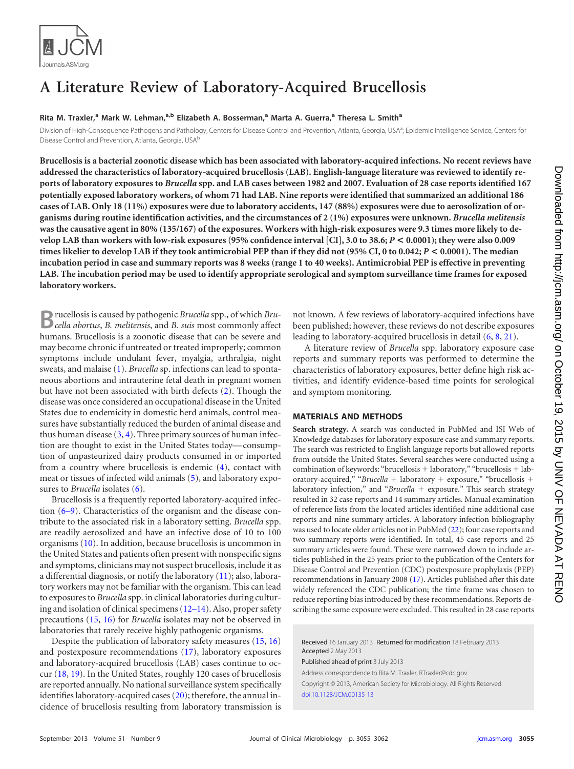

# **A Literature Review of Laboratory-Acquired Brucellosis**

# **Rita M. Traxler, <sup>a</sup> Mark W. Lehman, a,b Elizabeth A. Bosserman, <sup>a</sup> Marta A. Guerra, <sup>a</sup> Theresa L. Smitha**

Division of High-Consequence Pathogens and Pathology, Centers for Disease Control and Prevention, Atlanta, Georgia, USA<sup>a</sup>; Epidemic Intelligence Service, Centers for Disease Control and Prevention, Atlanta, Georgia, USA<sup>b</sup>

**Brucellosis is a bacterial zoonotic disease which has been associated with laboratory-acquired infections. No recent reviews have addressed the characteristics of laboratory-acquired brucellosis (LAB). English-language literature was reviewed to identify reports of laboratory exposures to** *Brucella* **spp. and LAB cases between 1982 and 2007. Evaluation of 28 case reports identified 167 potentially exposed laboratory workers, of whom 71 had LAB. Nine reports were identified that summarized an additional 186 cases of LAB. Only 18 (11%) exposures were due to laboratory accidents, 147 (88%) exposures were due to aerosolization of organisms during routine identification activities, and the circumstances of 2 (1%) exposures were unknown.** *Brucella melitensis* **was the causative agent in 80% (135/167) of the exposures. Workers with high-risk exposures were 9.3 times more likely to develop LAB than workers with low-risk exposures (95% confidence interval [CI], 3.0 to 38.6;** *P* **< 0.0001); they were also 0.009 times likelier to develop LAB if they took antimicrobial PEP than if they did not (95% CI, 0 to 0.042;** *P* **< 0.0001). The median incubation period in case and summary reports was 8 weeks (range 1 to 40 weeks). Antimicrobial PEP is effective in preventing LAB. The incubation period may be used to identify appropriate serological and symptom surveillance time frames for exposed laboratory workers.**

**B**rucellosis is caused by pathogenic *Brucella* spp., of which *Bru-cella abortus*, *B. melitensis*, and *B. suis* most commonly affect humans. Brucellosis is a zoonotic disease that can be severe and may become chronic if untreated or treated improperly; common symptoms include undulant fever, myalgia, arthralgia, night sweats, and malaise [\(1\)](#page-5-0). *Brucella* sp. infections can lead to spontaneous abortions and intrauterine fetal death in pregnant women but have not been associated with birth defects [\(2\)](#page-5-1). Though the disease was once considered an occupational disease in the United States due to endemicity in domestic herd animals, control measures have substantially reduced the burden of animal disease and thus human disease  $(3, 4)$  $(3, 4)$  $(3, 4)$ . Three primary sources of human infection are thought to exist in the United States today— consumption of unpasteurized dairy products consumed in or imported from a country where brucellosis is endemic [\(4\)](#page-5-3), contact with meat or tissues of infected wild animals [\(5\)](#page-5-4), and laboratory exposures to *Brucella* isolates [\(6\)](#page-5-5).

Brucellosis is a frequently reported laboratory-acquired infection [\(6](#page-5-5)[–](#page-5-6)[9\)](#page-5-7). Characteristics of the organism and the disease contribute to the associated risk in a laboratory setting. *Brucella* spp. are readily aerosolized and have an infective dose of 10 to 100 organisms [\(10\)](#page-5-8). In addition, because brucellosis is uncommon in the United States and patients often present with nonspecific signs and symptoms, clinicians may not suspect brucellosis, include it as a differential diagnosis, or notify the laboratory [\(11\)](#page-5-9); also, laboratory workers may not be familiar with the organism. This can lead to exposures to *Brucella* spp. in clinical laboratories during culturing and isolation of clinical specimens [\(12](#page-5-10)[–](#page-6-0)[14\)](#page-6-1). Also, proper safety precautions [\(15,](#page-6-2) [16\)](#page-6-3) for *Brucella* isolates may not be observed in laboratories that rarely receive highly pathogenic organisms.

Despite the publication of laboratory safety measures [\(15,](#page-6-2) [16\)](#page-6-3) and postexposure recommendations [\(17\)](#page-6-4), laboratory exposures and laboratory-acquired brucellosis (LAB) cases continue to occur [\(18,](#page-6-5) [19\)](#page-6-6). In the United States, roughly 120 cases of brucellosis are reported annually. No national surveillance system specifically identifies laboratory-acquired cases [\(20\)](#page-6-7); therefore, the annual incidence of brucellosis resulting from laboratory transmission is

not known. A few reviews of laboratory-acquired infections have been published; however, these reviews do not describe exposures leading to laboratory-acquired brucellosis in detail [\(6,](#page-5-5) [8,](#page-5-6) [21\)](#page-6-8).

A literature review of *Brucella* spp. laboratory exposure case reports and summary reports was performed to determine the characteristics of laboratory exposures, better define high risk activities, and identify evidence-based time points for serological and symptom monitoring.

## **MATERIALS AND METHODS**

**Search strategy.** A search was conducted in PubMed and ISI Web of Knowledge databases for laboratory exposure case and summary reports. The search was restricted to English language reports but allowed reports from outside the United States. Several searches were conducted using a combination of keywords: "brucellosis  $+$  laboratory," "brucellosis  $+$  laboratory-acquired," "*Brucella* + laboratory + exposure," "brucellosis + laboratory infection," and "*Brucella* + exposure." This search strategy resulted in 32 case reports and 14 summary articles. Manual examination of reference lists from the located articles identified nine additional case reports and nine summary articles. A laboratory infection bibliography was used to locate older articles not in PubMed [\(22\)](#page-6-9); four case reports and two summary reports were identified. In total, 45 case reports and 25 summary articles were found. These were narrowed down to include articles published in the 25 years prior to the publication of the Centers for Disease Control and Prevention (CDC) postexposure prophylaxis (PEP) recommendations in January 2008 [\(17\)](#page-6-4). Articles published after this date widely referenced the CDC publication; the time frame was chosen to reduce reporting bias introduced by these recommendations. Reports describing the same exposure were excluded. This resulted in 28 case reports

Received 16 January 2013 Returned for modification 18 February 2013 Accepted 2 May 2013

Published ahead of print 3 July 2013

Address correspondence to Rita M. Traxler, RTraxler@cdc.gov. Copyright © 2013, American Society for Microbiology. All Rights Reserved. [doi:10.1128/JCM.00135-13](http://dx.doi.org/10.1128/JCM.00135-13)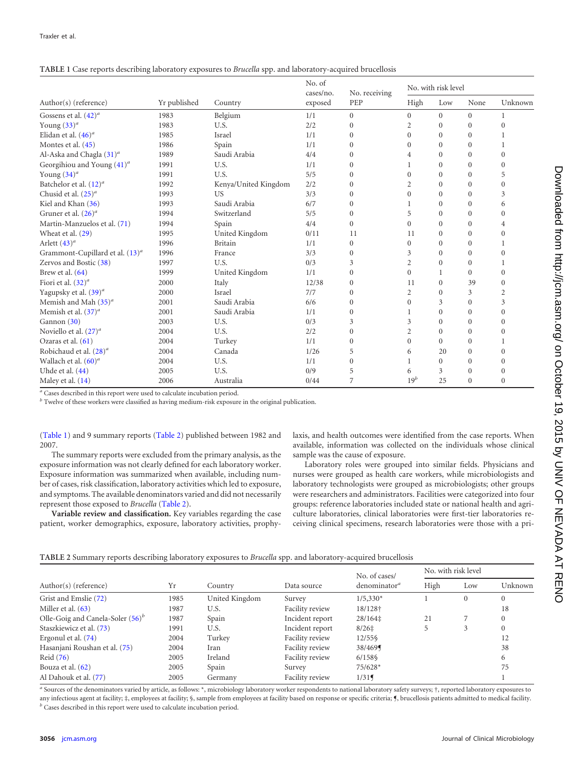<span id="page-1-0"></span>

|  |  | TABLE 1 Case reports describing laboratory exposures to Brucella spp. and laboratory-acquired brucellosis |
|--|--|-----------------------------------------------------------------------------------------------------------|
|  |  |                                                                                                           |

|                                    | Yr published | Country              | No. of<br>cases/no.<br>exposed | No. receiving<br>PEP | No. with risk level |              |              |                |
|------------------------------------|--------------|----------------------|--------------------------------|----------------------|---------------------|--------------|--------------|----------------|
| Author(s) (reference)              |              |                      |                                |                      | High                | Low          | None         | Unknown        |
| Gossens et al. $(42)^a$            | 1983         | Belgium              | 1/1                            | $\mathbf{0}$         | $\overline{0}$      | $\mathbf{0}$ | $\mathbf{0}$ | 1              |
| Young $(33)^a$                     | 1983         | U.S.                 | 2/2                            | $\mathbf{0}$         | 2                   | $\Omega$     | $\theta$     | $\Omega$       |
| Elidan et al. $(46)^a$             | 1985         | Israel               | 1/1                            | $\Omega$             | $\overline{0}$      | $\Omega$     | $\Omega$     |                |
| Montes et al. (45)                 | 1986         | Spain                | 1/1                            | $\mathbf{0}$         | $\overline{0}$      | $\mathbf{0}$ | 0            |                |
| Al-Aska and Chagla $(31)^a$        | 1989         | Saudi Arabia         | 4/4                            | $\Omega$             | 4                   | $\Omega$     | $\Omega$     | $\theta$       |
| Georgihiou and Young $(41)^a$      | 1991         | U.S.                 | 1/1                            | $\Omega$             |                     | $\Omega$     | $\Omega$     | $\theta$       |
| Young $(34)^a$                     | 1991         | U.S.                 | 5/5                            | $\mathbf{0}$         | $\mathbf{0}$        | $\mathbf{0}$ | $\Omega$     | 5              |
| Batchelor et al. $(12)^a$          | 1992         | Kenya/United Kingdom | 2/2                            | $\Omega$             | 2                   | $\Omega$     | $\Omega$     | $\mathbf{0}$   |
| Chusid et al. $(25)^a$             | 1993         | <b>US</b>            | 3/3                            | $\mathbf{0}$         | $\overline{0}$      | $\Omega$     | $\theta$     | 3              |
| Kiel and Khan (36)                 | 1993         | Saudi Arabia         | 6/7                            | $\mathbf{0}$         |                     | $\mathbf{0}$ | $\Omega$     | 6              |
| Gruner et al. $(26)^a$             | 1994         | Switzerland          | 5/5                            | $\Omega$             | 5                   | $\Omega$     | $\Omega$     | $\Omega$       |
| Martin-Manzuelos et al. (71)       | 1994         | Spain                | 4/4                            | $\mathbf{0}$         | $\overline{0}$      | $\mathbf{0}$ | 0            | 4              |
| Wheat et al. (29)                  | 1995         | United Kingdom       | 0/11                           | 11                   | 11                  | $\Omega$     | $\Omega$     | 0              |
| Arlett $(43)^a$                    | 1996         | <b>Britain</b>       | 1/1                            | $\mathbf{0}$         | $\overline{0}$      | $\theta$     | $\theta$     |                |
| Grammont-Cupillard et al. $(13)^a$ | 1996         | France               | 3/3                            | $\mathbf{0}$         | 3                   | $\Omega$     | $\Omega$     | $\theta$       |
| Zervos and Bostic (38)             | 1997         | U.S.                 | 0/3                            | 3                    | 2                   | $\mathbf{0}$ | 0            |                |
| Brew et al. (64)                   | 1999         | United Kingdom       | 1/1                            | $\mathbf{0}$         | $\Omega$            | 1            | $\Omega$     | $\mathbf{0}$   |
| Fiori et al. $(32)^a$              | 2000         | Italy                | 12/38                          | $\mathbf{0}$         | 11                  | $\mathbf{0}$ | 39           | $\mathbf{0}$   |
| Yagupsky et al. (39) <sup>a</sup>  | 2000         | Israel               | 7/7                            | $\mathbf{0}$         | $\overline{c}$      | $\mathbf{0}$ | 3            | $\overline{2}$ |
| Memish and Mah $(35)^a$            | 2001         | Saudi Arabia         | 6/6                            | $\Omega$             | $\Omega$            | 3            | $\Omega$     | 3              |
| Memish et al. $(37)^a$             | 2001         | Saudi Arabia         | 1/1                            | $\mathbf{0}$         |                     | $\mathbf{0}$ | 0            | $\mathbf{0}$   |
| Gannon (30)                        | 2003         | U.S.                 | 0/3                            | 3                    | 3                   | $\mathbf{0}$ | $\Omega$     | $\mathbf{0}$   |
| Noviello et al. $(27)^a$           | 2004         | U.S.                 | 2/2                            | $\Omega$             | 2                   | $\Omega$     | $\Omega$     | $\Omega$       |
| Ozaras et al. (61)                 | 2004         | Turkey               | 1/1                            | $\mathbf{0}$         | $\overline{0}$      | $\Omega$     | $\theta$     |                |
| Robichaud et al. $(28)^a$          | 2004         | Canada               | 1/26                           | 5                    | 6                   | 20           | $\Omega$     | $\Omega$       |
| Wallach et al. $(60)^a$            | 2004         | U.S.                 | 1/1                            | $\Omega$             |                     | $\Omega$     | $\Omega$     | $\Omega$       |
| Uhde et al. $(44)$                 | 2005         | U.S.                 | 0/9                            | 5                    | 6                   | 3            | $\mathbf{0}$ | $\mathbf{0}$   |
| Maley et al. (14)                  | 2006         | Australia            | 0/44                           | 7                    | $19^b$              | 25           | $\Omega$     | $\mathbf{0}$   |

*<sup>a</sup>* Cases described in this report were used to calculate incubation period.

*<sup>b</sup>* Twelve of these workers were classified as having medium-risk exposure in the original publication.

[\(Table 1\)](#page-1-0) and 9 summary reports [\(Table 2\)](#page-1-1) published between 1982 and 2007.

The summary reports were excluded from the primary analysis, as the exposure information was not clearly defined for each laboratory worker. Exposure information was summarized when available, including number of cases, risk classification, laboratory activities which led to exposure, and symptoms. The available denominators varied and did not necessarily represent those exposed to *Brucella* [\(Table 2\)](#page-1-1).

**Variable review and classification.** Key variables regarding the case patient, worker demographics, exposure, laboratory activities, prophylaxis, and health outcomes were identified from the case reports. When available, information was collected on the individuals whose clinical sample was the cause of exposure.

Laboratory roles were grouped into similar fields. Physicians and nurses were grouped as health care workers, while microbiologists and laboratory technologists were grouped as microbiologists; other groups were researchers and administrators. Facilities were categorized into four groups: reference laboratories included state or national health and agriculture laboratories, clinical laboratories were first-tier laboratories receiving clinical specimens, research laboratories were those with a pri-

<span id="page-1-1"></span>

| TABLE 2 Summary reports describing laboratory exposures to Brucella spp. and laboratory-acquired brucellosis |  |  |  |  |  |
|--------------------------------------------------------------------------------------------------------------|--|--|--|--|--|
|                                                                                                              |  |  |  |  |  |

|                                     |      | Country        | Data source     | No. of cases/            | No. with risk level |          |          |
|-------------------------------------|------|----------------|-----------------|--------------------------|---------------------|----------|----------|
| Author(s) (reference)               | Υr   |                |                 | denominator <sup>a</sup> | High                | Low      | Unknown  |
| Grist and Emslie (72)               | 1985 | United Kingdom | Survey          | $1/5,330*$               |                     | $\theta$ | $\Omega$ |
| Miller et al. $(63)$                | 1987 | U.S.           | Facility review | 18/128†                  |                     |          | 18       |
| Olle-Goig and Canela-Soler $(56)^b$ | 1987 | Spain          | Incident report | 28/164‡                  | 21                  |          | $\Omega$ |
| Staszkiewicz et al. (73)            | 1991 | U.S.           | Incident report | $8/26$ ‡                 |                     | 3        | $\Omega$ |
| Ergonul et al. $(74)$               | 2004 | Turkey         | Facility review | $12/55\$                 |                     |          | 12       |
| Hasanjani Roushan et al. (75)       | 2004 | Iran           | Facility review | 38/469                   |                     |          | 38       |
| Reid $(76)$                         | 2005 | Ireland        | Facility review | 6/158                    |                     |          | 6        |
| Bouza et al. $(62)$                 | 2005 | Spain          | Survey          | $75/628*$                |                     |          | 75       |
| Al Dahouk et al. (77)               | 2005 | Germany        | Facility review | 1/319                    |                     |          |          |

*<sup>a</sup>* Sources of the denominators varied by article, as follows: \*, microbiology laboratory worker respondents to national laboratory safety surveys; †, reported laboratory exposures to any infectious agent at facility; ‡, employees at facility; §, sample from employees at facility based on response or specific criteria; ¶, brucellosis patients admitted to medical facility. *<sup>b</sup>* Cases described in this report were used to calculate incubation period.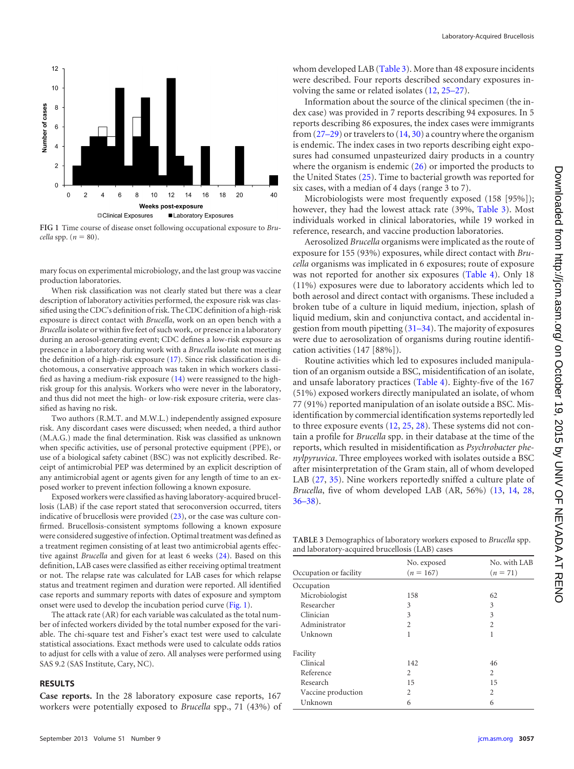

<span id="page-2-0"></span>**FIG 1** Time course of disease onset following occupational exposure to *Bru-* $\textit{cella}$  spp.  $(n = 80)$ .

mary focus on experimental microbiology, and the last group was vaccine production laboratories.

When risk classification was not clearly stated but there was a clear description of laboratory activities performed, the exposure risk was classified using the CDC's definition of risk. The CDC definition of a high-risk exposure is direct contact with *Brucella*, work on an open bench with a *Brucella* isolate or within five feet of such work, or presence in a laboratory during an aerosol-generating event; CDC defines a low-risk exposure as presence in a laboratory during work with a *Brucella* isolate not meeting the definition of a high-risk exposure [\(17\)](#page-6-4). Since risk classification is dichotomous, a conservative approach was taken in which workers classified as having a medium-risk exposure [\(14\)](#page-6-1) were reassigned to the highrisk group for this analysis. Workers who were never in the laboratory, and thus did not meet the high- or low-risk exposure criteria, were classified as having no risk.

Two authors (R.M.T. and M.W.L.) independently assigned exposure risk. Any discordant cases were discussed; when needed, a third author (M.A.G.) made the final determination. Risk was classified as unknown when specific activities, use of personal protective equipment (PPE), or use of a biological safety cabinet (BSC) was not explicitly described. Receipt of antimicrobial PEP was determined by an explicit description of any antimicrobial agent or agents given for any length of time to an exposed worker to prevent infection following a known exposure.

Exposed workers were classified as having laboratory-acquired brucellosis (LAB) if the case report stated that seroconversion occurred, titers indicative of brucellosis were provided [\(23\)](#page-6-37), or the case was culture confirmed. Brucellosis-consistent symptoms following a known exposure were considered suggestive of infection. Optimal treatment was defined as a treatment regimen consisting of at least two antimicrobial agents effective against *Brucella* and given for at least 6 weeks [\(24\)](#page-6-38). Based on this definition, LAB cases were classified as either receiving optimal treatment or not. The relapse rate was calculated for LAB cases for which relapse status and treatment regimen and duration were reported. All identified case reports and summary reports with dates of exposure and symptom onset were used to develop the incubation period curve [\(Fig. 1\)](#page-2-0).

The attack rate (AR) for each variable was calculated as the total number of infected workers divided by the total number exposed for the variable. The chi-square test and Fisher's exact test were used to calculate statistical associations. Exact methods were used to calculate odds ratios to adjust for cells with a value of zero. All analyses were performed using SAS 9.2 (SAS Institute, Cary, NC).

#### **RESULTS**

**Case reports.** In the 28 laboratory exposure case reports, 167 workers were potentially exposed to *Brucella* spp., 71 (43%) of whom developed LAB [\(Table 3\)](#page-2-1). More than 48 exposure incidents were described. Four reports described secondary exposures involving the same or related isolates [\(12,](#page-5-10) [25](#page-6-17)[–](#page-6-19)[27\)](#page-6-29).

Information about the source of the clinical specimen (the index case) was provided in 7 reports describing 94 exposures. In 5 reports describing 86 exposures, the index cases were immigrants from  $(27-29)$  $(27-29)$  $(27-29)$  or travelers to  $(14, 30)$  $(14, 30)$  $(14, 30)$  a country where the organism is endemic. The index cases in two reports describing eight exposures had consumed unpasteurized dairy products in a country where the organism is endemic  $(26)$  or imported the products to the United States [\(25\)](#page-6-17). Time to bacterial growth was reported for six cases, with a median of 4 days (range 3 to 7).

Microbiologists were most frequently exposed (158 [95%]); however, they had the lowest attack rate (39%, [Table 3\)](#page-2-1). Most individuals worked in clinical laboratories, while 19 worked in reference, research, and vaccine production laboratories.

Aerosolized *Brucella* organisms were implicated as the route of exposure for 155 (93%) exposures, while direct contact with *Brucella* organisms was implicated in 6 exposures; route of exposure was not reported for another six exposures [\(Table 4\)](#page-3-0). Only 18 (11%) exposures were due to laboratory accidents which led to both aerosol and direct contact with organisms. These included a broken tube of a culture in liquid medium, injection, splash of liquid medium, skin and conjunctiva contact, and accidental ingestion from mouth pipetting  $(31–34)$  $(31–34)$  $(31–34)$ . The majority of exposures were due to aerosolization of organisms during routine identification activities (147 [88%]).

Routine activities which led to exposures included manipulation of an organism outside a BSC, misidentification of an isolate, and unsafe laboratory practices [\(Table 4\)](#page-3-0). Eighty-five of the 167 (51%) exposed workers directly manipulated an isolate, of whom 77 (91%) reported manipulation of an isolate outside a BSC. Misidentification by commercial identification systems reportedly led to three exposure events [\(12,](#page-5-10) [25,](#page-6-17) [28\)](#page-6-31). These systems did not contain a profile for *Brucella* spp. in their database at the time of the reports, which resulted in misidentification as *Psychrobacter phenylpyruvica*. Three employees worked with isolates outside a BSC after misinterpretation of the Gram stain, all of whom developed LAB [\(27,](#page-6-29) [35\)](#page-6-26). Nine workers reportedly sniffed a culture plate of *Brucella*, five of whom developed LAB (AR, 56%) [\(13,](#page-6-0) [14,](#page-6-1) [28,](#page-6-31) [36](#page-6-18)[–](#page-6-27)[38\)](#page-6-22).

<span id="page-2-1"></span>**TABLE 3** Demographics of laboratory workers exposed to *Brucella* spp. and laboratory-acquired brucellosis (LAB) cases

|                        | No. exposed<br>$(n = 167)$ | No. with LAB<br>$(n = 71)$ |
|------------------------|----------------------------|----------------------------|
| Occupation or facility |                            |                            |
| Occupation             |                            |                            |
| Microbiologist         | 158                        | 62                         |
| Researcher             | 3                          | 3                          |
| Clinician              | 3                          | 3                          |
| Administrator          | 2                          | $\mathfrak{D}$             |
| Unknown                | 1                          |                            |
| Facility               |                            |                            |
| Clinical               | 142                        | 46                         |
| Reference              | 2                          | $\overline{c}$             |
| Research               | 15                         | 15                         |
| Vaccine production     | 2                          | $\overline{c}$             |
| Unknown                | 6                          | 6                          |
|                        |                            |                            |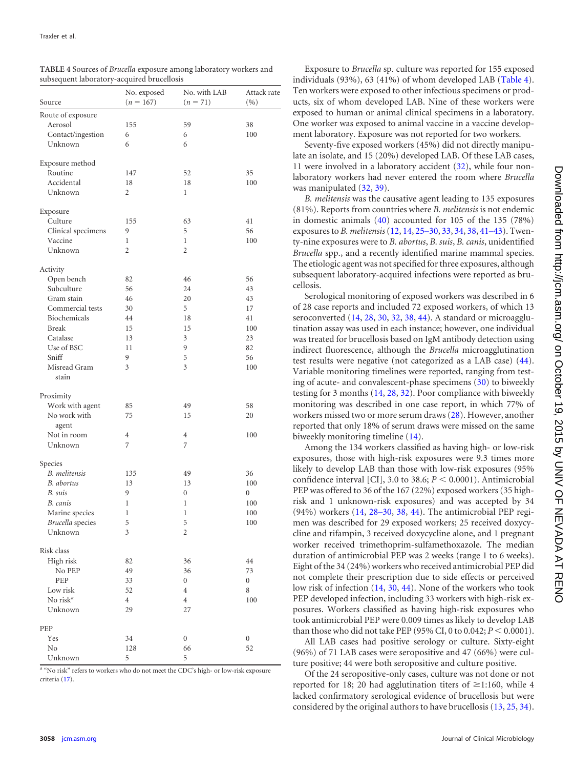| Source                            | No. exposed<br>$(n = 167)$ | No. with LAB<br>$(n = 71)$ | Attack rate<br>(9/0) |
|-----------------------------------|----------------------------|----------------------------|----------------------|
| Route of exposure                 |                            |                            |                      |
| Aerosol                           | 155                        | 59                         | 38                   |
| Contact/ingestion                 | 6                          | 6                          | 100                  |
| Unknown                           | 6                          | 6                          |                      |
| Exposure method                   |                            |                            |                      |
| Routine                           | 147                        | 52                         | 35                   |
| Accidental                        | 18                         | 18                         | 100                  |
| Unknown                           | 2                          | 1                          |                      |
| Exposure                          |                            |                            |                      |
| Culture                           | 155                        | 63                         | 41                   |
| Clinical specimens                | 9                          | 5                          | 56                   |
| Vaccine                           | 1                          | 1                          | 100                  |
| Unknown                           | $\overline{2}$             | $\overline{2}$             |                      |
| Activity                          |                            |                            |                      |
| Open bench                        | 82                         | 46                         | 56                   |
| Subculture                        | 56                         | 24                         | 43                   |
| Gram stain                        | 46                         | 20                         | 43                   |
| Commercial tests                  | 30                         | 5                          | 17                   |
| Biochemicals                      | 44                         | 18                         | 41                   |
| <b>Break</b>                      | 15                         | 15                         | 100                  |
| Catalase                          | 13                         | 3                          | 23                   |
| Use of BSC                        | 11                         | 9                          | 82                   |
| Sniff                             | 9                          | 5                          | 56                   |
| Misread Gram<br>stain             | 3                          | 3                          | 100                  |
| Proximity                         |                            |                            |                      |
| Work with agent                   | 85                         | 49                         | 58                   |
| No work with                      | 75                         | 15                         | 20                   |
| agent                             |                            |                            |                      |
| Not in room                       | 4                          | 4                          | 100                  |
| Unknown                           | 7                          | 7                          |                      |
| Species                           |                            |                            |                      |
| <b>B.</b> melitensis              | 135                        | 49                         | 36                   |
| B. abortus                        | 13                         | 13                         | 100                  |
| B. suis                           | 9                          | 0                          | $\boldsymbol{0}$     |
| B. canis                          | $\mathbf{1}$               | 1                          | 100                  |
| Marine species                    | 1                          | 1                          | 100                  |
| Brucella species                  | 5                          | 5                          | 100                  |
| Unknown                           | 3                          | 2                          |                      |
| Risk class                        |                            |                            |                      |
| High risk                         | 82                         | 36                         | 44                   |
| No PEP                            | 49                         | 36                         | 73                   |
| PEP                               | 33                         | $\boldsymbol{0}$           | $\boldsymbol{0}$     |
| Low risk                          | 52                         | $\overline{4}$             | $\,$ 8 $\,$          |
| No risk <sup><math>a</math></sup> | $\overline{4}$             | $\overline{4}$             | 100                  |
| Unknown                           | 29                         | 27                         |                      |
| PEP                               |                            |                            |                      |
| Yes                               | 34                         | $\boldsymbol{0}$           | $\boldsymbol{0}$     |
| N <sub>o</sub>                    | 128                        | 66                         | 52                   |
| Unknown                           | 5                          | 5                          |                      |

<span id="page-3-0"></span>

| TABLE 4 Sources of Brucella exposure among laboratory workers and |  |
|-------------------------------------------------------------------|--|
| subsequent laboratory-acquired brucellosis                        |  |

*<sup>a</sup>* "No risk" refers to workers who do not meet the CDC's high- or low-risk exposure criteria [\(17\)](#page-6-4).

Exposure to *Brucella* sp. culture was reported for 155 exposed individuals (93%), 63 (41%) of whom developed LAB [\(Table 4\)](#page-3-0). Ten workers were exposed to other infectious specimens or products, six of whom developed LAB. Nine of these workers were exposed to human or animal clinical specimens in a laboratory. One worker was exposed to animal vaccine in a vaccine development laboratory. Exposure was not reported for two workers.

Seventy-five exposed workers (45%) did not directly manipulate an isolate, and 15 (20%) developed LAB. Of these LAB cases, 11 were involved in a laboratory accident [\(32\)](#page-6-24), while four nonlaboratory workers had never entered the room where *Brucella* was manipulated [\(32,](#page-6-24) [39\)](#page-6-25).

*B. melitensis* was the causative agent leading to 135 exposures (81%). Reports from countries where *B. melitensis* is not endemic in domestic animals [\(40\)](#page-6-39) accounted for 105 of the 135 (78%) exposures to *B. melitensis*[\(12,](#page-5-10) [14,](#page-6-1) [25](#page-6-17)[–](#page-6-20)[30,](#page-6-28) [33,](#page-6-11) [34,](#page-6-16) [38,](#page-6-22) [41](#page-6-15)[–](#page-6-10)[43\)](#page-6-21). Twenty-nine exposures were to *B. abortus*, *B. suis*, *B. canis*, unidentified *Brucella* spp., and a recently identified marine mammal species. The etiologic agent was not specified for three exposures, although subsequent laboratory-acquired infections were reported as brucellosis.

Serological monitoring of exposed workers was described in 6 of 28 case reports and included 72 exposed workers, of which 13 seroconverted [\(14,](#page-6-1) [28,](#page-6-31) [30,](#page-6-28) [32,](#page-6-24) [38,](#page-6-22) [44\)](#page-6-33). A standard or microagglutination assay was used in each instance; however, one individual was treated for brucellosis based on IgM antibody detection using indirect fluorescence, although the *Brucella* microagglutination test results were negative (not categorized as a LAB case) [\(44\)](#page-6-33). Variable monitoring timelines were reported, ranging from testing of acute- and convalescent-phase specimens [\(30\)](#page-6-28) to biweekly testing for 3 months [\(14,](#page-6-1) [28,](#page-6-31) [32\)](#page-6-24). Poor compliance with biweekly monitoring was described in one case report, in which 77% of workers missed two or more serum draws [\(28\)](#page-6-31). However, another reported that only 18% of serum draws were missed on the same biweekly monitoring timeline [\(14\)](#page-6-1).

Among the 134 workers classified as having high- or low-risk exposures, those with high-risk exposures were 9.3 times more likely to develop LAB than those with low-risk exposures (95% confidence interval [CI], 3.0 to 38.6;  $P \le 0.0001$ ). Antimicrobial PEP was offered to 36 of the 167 (22%) exposed workers (35 highrisk and 1 unknown-risk exposures) and was accepted by 34 (94%) workers [\(14,](#page-6-1) [28](#page-6-31)[–](#page-6-20)[30,](#page-6-28) [38,](#page-6-22) [44\)](#page-6-33). The antimicrobial PEP regimen was described for 29 exposed workers; 25 received doxycycline and rifampin, 3 received doxycycline alone, and 1 pregnant worker received trimethoprim-sulfamethoxazole. The median duration of antimicrobial PEP was 2 weeks (range 1 to 6 weeks). Eight of the 34 (24%) workers who received antimicrobial PEP did not complete their prescription due to side effects or perceived low risk of infection [\(14,](#page-6-1) [30,](#page-6-28) [44\)](#page-6-33). None of the workers who took PEP developed infection, including 33 workers with high-risk exposures. Workers classified as having high-risk exposures who took antimicrobial PEP were 0.009 times as likely to develop LAB than those who did not take PEP (95% CI, 0 to 0.042;  $P < 0.0001$ ).

All LAB cases had positive serology or culture. Sixty-eight (96%) of 71 LAB cases were seropositive and 47 (66%) were culture positive; 44 were both seropositive and culture positive.

Of the 24 seropositive-only cases, culture was not done or not reported for 18; 20 had agglutination titers of  $\geq$ 1:160, while 4 lacked confirmatory serological evidence of brucellosis but were considered by the original authors to have brucellosis [\(13,](#page-6-0) [25,](#page-6-17) [34\)](#page-6-16).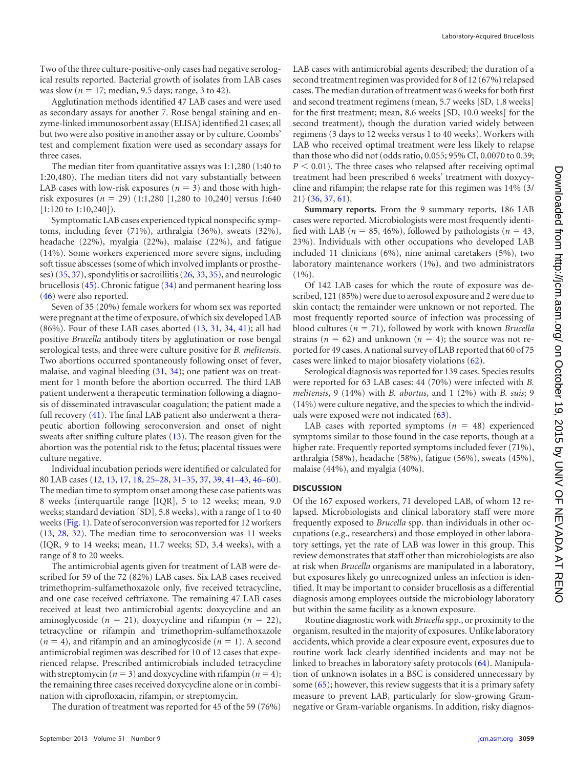Two of the three culture-positive-only cases had negative serological results reported. Bacterial growth of isolates from LAB cases was slow ( $n = 17$ ; median, 9.5 days; range, 3 to 42).

Agglutination methods identified 47 LAB cases and were used as secondary assays for another 7. Rose bengal staining and enzyme-linked immunosorbent assay (ELISA) identified 21 cases; all but two were also positive in another assay or by culture. Coombs' test and complement fixation were used as secondary assays for three cases.

The median titer from quantitative assays was 1:1,280 (1:40 to 1:20,480). The median titers did not vary substantially between LAB cases with low-risk exposures ( $n = 3$ ) and those with highrisk exposures  $(n = 29)$   $(1:1,280$   $[1,280$  to  $10,240]$  versus 1:640 [1:120 to 1:10,240]).

Symptomatic LAB cases experienced typical nonspecific symptoms, including fever (71%), arthralgia (36%), sweats (32%), headache (22%), myalgia (22%), malaise (22%), and fatigue (14%). Some workers experienced more severe signs, including soft tissue abscesses (some of which involved implants or prostheses) [\(35,](#page-6-26) [37\)](#page-6-27), spondylitis or sacroiliitis [\(26,](#page-6-19) [33,](#page-6-11) [35\)](#page-6-26), and neurologic brucellosis [\(45\)](#page-6-13). Chronic fatigue [\(34\)](#page-6-16) and permanent hearing loss [\(46\)](#page-6-12) were also reported.

Seven of 35 (20%) female workers for whom sex was reported were pregnant at the time of exposure, of which six developed LAB (86%). Four of these LAB cases aborted [\(13,](#page-6-0) [31,](#page-6-14) [34,](#page-6-16) [41\)](#page-6-15); all had positive *Brucella* antibody titers by agglutination or rose bengal serological tests, and three were culture positive for *B. melitensis*. Two abortions occurred spontaneously following onset of fever, malaise, and vaginal bleeding [\(31,](#page-6-14) [34\)](#page-6-16); one patient was on treatment for 1 month before the abortion occurred. The third LAB patient underwent a therapeutic termination following a diagnosis of disseminated intravascular coagulation; the patient made a full recovery [\(41\)](#page-6-15). The final LAB patient also underwent a therapeutic abortion following seroconversion and onset of night sweats after sniffing culture plates [\(13\)](#page-6-0). The reason given for the abortion was the potential risk to the fetus; placental tissues were culture negative.

Individual incubation periods were identified or calculated for 80 LAB cases [\(12,](#page-5-10) [13,](#page-6-0) [17,](#page-6-4) [18,](#page-6-5) [25](#page-6-17)[–](#page-6-29)[28,](#page-6-31) [31](#page-6-14)[–](#page-6-16)[35,](#page-6-26) [37,](#page-6-27) [39,](#page-6-25) [41](#page-6-15)[–](#page-6-10)[43,](#page-6-21) [46](#page-6-12)[–](#page-6-40)[60\)](#page-6-32). The median time to symptom onset among these case patients was 8 weeks (interquartile range [IQR], 5 to 12 weeks; mean, 9.0 weeks; standard deviation [SD], 5.8 weeks), with a range of 1 to 40 weeks [\(Fig. 1\)](#page-2-0). Date of seroconversion was reported for 12 workers [\(13,](#page-6-0) [28,](#page-6-31) [32\)](#page-6-24). The median time to seroconversion was 11 weeks (IQR, 9 to 14 weeks; mean, 11.7 weeks; SD, 3.4 weeks), with a range of 8 to 20 weeks.

The antimicrobial agents given for treatment of LAB were described for 59 of the 72 (82%) LAB cases. Six LAB cases received trimethoprim-sulfamethoxazole only, five received tetracycline, and one case received ceftriaxone. The remaining 47 LAB cases received at least two antimicrobial agents: doxycycline and an aminoglycoside ( $n = 21$ ), doxycycline and rifampin ( $n = 22$ ), tetracycline or rifampin and trimethoprim-sulfamethoxazole  $(n = 4)$ , and rifampin and an aminoglycoside  $(n = 1)$ . A second antimicrobial regimen was described for 10 of 12 cases that experienced relapse. Prescribed antimicrobials included tetracycline with streptomycin ( $n = 3$ ) and doxycycline with rifampin ( $n = 4$ ); the remaining three cases received doxycycline alone or in combination with ciprofloxacin, rifampin, or streptomycin.

The duration of treatment was reported for 45 of the 59 (76%)

LAB cases with antimicrobial agents described; the duration of a second treatment regimen was provided for 8 of 12 (67%) relapsed cases. The median duration of treatment was 6 weeks for both first and second treatment regimens (mean, 5.7 weeks [SD, 1.8 weeks] for the first treatment; mean, 8.6 weeks [SD, 10.0 weeks] for the second treatment), though the duration varied widely between regimens (3 days to 12 weeks versus 1 to 40 weeks). Workers with LAB who received optimal treatment were less likely to relapse than those who did not (odds ratio, 0.055; 95% CI, 0.0070 to 0.39;  $P < 0.01$ ). The three cases who relapsed after receiving optimal treatment had been prescribed 6 weeks' treatment with doxycycline and rifampin; the relapse rate for this regimen was 14% (3/ 21) [\(36,](#page-6-18) [37,](#page-6-27) [61\)](#page-6-30).

**Summary reports.** From the 9 summary reports, 186 LAB cases were reported. Microbiologists were most frequently identified with LAB ( $n = 85, 46\%$ ), followed by pathologists ( $n = 43$ , 23%). Individuals with other occupations who developed LAB included 11 clinicians (6%), nine animal caretakers (5%), two laboratory maintenance workers (1%), and two administrators  $(1\%)$ .

Of 142 LAB cases for which the route of exposure was described, 121 (85%) were due to aerosol exposure and 2 were due to skin contact; the remainder were unknown or not reported. The most frequently reported source of infection was processing of blood cultures ( $n = 71$ ), followed by work with known *Brucella* strains ( $n = 62$ ) and unknown ( $n = 4$ ); the source was not reported for 49 cases. A national survey of LAB reported that 60 of 75 cases were linked to major biosafety violations [\(62\)](#page-6-36).

Serological diagnosis was reported for 139 cases. Species results were reported for 63 LAB cases: 44 (70%) were infected with *B. melitensis*, 9 (14%) with *B. abortus*, and 1 (2%) with *B. suis*; 9 (14%) were culture negative, and the species to which the individuals were exposed were not indicated [\(63\)](#page-6-34).

LAB cases with reported symptoms  $(n = 48)$  experienced symptoms similar to those found in the case reports, though at a higher rate. Frequently reported symptoms included fever (71%), arthralgia (58%), headache (58%), fatigue (56%), sweats (45%), malaise (44%), and myalgia (40%).

# **DISCUSSION**

Of the 167 exposed workers, 71 developed LAB, of whom 12 relapsed. Microbiologists and clinical laboratory staff were more frequently exposed to *Brucella* spp. than individuals in other occupations (e.g., researchers) and those employed in other laboratory settings, yet the rate of LAB was lower in this group. This review demonstrates that staff other than microbiologists are also at risk when *Brucella* organisms are manipulated in a laboratory, but exposures likely go unrecognized unless an infection is identified. It may be important to consider brucellosis as a differential diagnosis among employees outside the microbiology laboratory but within the same facility as a known exposure.

Routine diagnostic work with *Brucella* spp., or proximity to the organism, resulted in the majority of exposures. Unlike laboratory accidents, which provide a clear exposure event, exposures due to routine work lack clearly identified incidents and may not be linked to breaches in laboratory safety protocols [\(64\)](#page-6-23). Manipulation of unknown isolates in a BSC is considered unnecessary by some  $(65)$ ; however, this review suggests that it is a primary safety measure to prevent LAB, particularly for slow-growing Gramnegative or Gram-variable organisms. In addition, risky diagnos-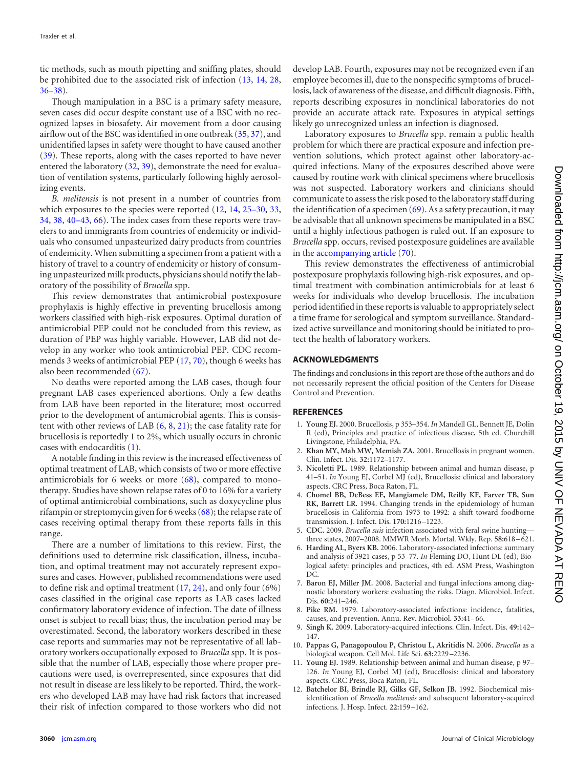tic methods, such as mouth pipetting and sniffing plates, should be prohibited due to the associated risk of infection [\(13,](#page-6-0) [14,](#page-6-1) [28,](#page-6-31) [36](#page-6-18)[–](#page-6-27)[38\)](#page-6-22).

Though manipulation in a BSC is a primary safety measure, seven cases did occur despite constant use of a BSC with no recognized lapses in biosafety. Air movement from a door causing airflow out of the BSC was identified in one outbreak [\(35,](#page-6-26) [37\)](#page-6-27), and unidentified lapses in safety were thought to have caused another [\(39\)](#page-6-25). These reports, along with the cases reported to have never entered the laboratory [\(32,](#page-6-24) [39\)](#page-6-25), demonstrate the need for evaluation of ventilation systems, particularly following highly aerosolizing events.

*B. melitensis* is not present in a number of countries from which exposures to the species were reported [\(12,](#page-5-10) [14,](#page-6-1) [25](#page-6-17)[–](#page-6-20)[30,](#page-6-28) [33,](#page-6-11) [34,](#page-6-16) [38,](#page-6-22) [40](#page-6-39)[–](#page-6-10)[43,](#page-6-21) [66\)](#page-6-42). The index cases from these reports were travelers to and immigrants from countries of endemicity or individuals who consumed unpasteurized dairy products from countries of endemicity. When submitting a specimen from a patient with a history of travel to a country of endemicity or history of consuming unpasteurized milk products, physicians should notify the laboratory of the possibility of *Brucella* spp.

This review demonstrates that antimicrobial postexposure prophylaxis is highly effective in preventing brucellosis among workers classified with high-risk exposures. Optimal duration of antimicrobial PEP could not be concluded from this review, as duration of PEP was highly variable. However, LAB did not develop in any worker who took antimicrobial PEP. CDC recommends 3 weeks of antimicrobial PEP [\(17,](#page-6-4) [70\)](#page-7-7), though 6 weeks has also been recommended [\(67\)](#page-6-43).

No deaths were reported among the LAB cases, though four pregnant LAB cases experienced abortions. Only a few deaths from LAB have been reported in the literature; most occurred prior to the development of antimicrobial agents. This is consistent with other reviews of LAB [\(6,](#page-5-5) [8,](#page-5-6) [21\)](#page-6-8); the case fatality rate for brucellosis is reportedly 1 to 2%, which usually occurs in chronic cases with endocarditis [\(1\)](#page-5-0).

A notable finding in this review is the increased effectiveness of optimal treatment of LAB, which consists of two or more effective antimicrobials for 6 weeks or more  $(68)$ , compared to monotherapy. Studies have shown relapse rates of 0 to 16% for a variety of optimal antimicrobial combinations, such as doxycycline plus rifampin or streptomycin given for 6 weeks [\(68\)](#page-6-44); the relapse rate of cases receiving optimal therapy from these reports falls in this range.

There are a number of limitations to this review. First, the definitions used to determine risk classification, illness, incubation, and optimal treatment may not accurately represent exposures and cases. However, published recommendations were used to define risk and optimal treatment [\(17,](#page-6-4) [24\)](#page-6-38), and only four (6%) cases classified in the original case reports as LAB cases lacked confirmatory laboratory evidence of infection. The date of illness onset is subject to recall bias; thus, the incubation period may be overestimated. Second, the laboratory workers described in these case reports and summaries may not be representative of all laboratory workers occupationally exposed to *Brucella* spp. It is possible that the number of LAB, especially those where proper precautions were used, is overrepresented, since exposures that did not result in disease are less likely to be reported. Third, the workers who developed LAB may have had risk factors that increased their risk of infection compared to those workers who did not

develop LAB. Fourth, exposures may not be recognized even if an employee becomes ill, due to the nonspecific symptoms of brucellosis, lack of awareness of the disease, and difficult diagnosis. Fifth, reports describing exposures in nonclinical laboratories do not provide an accurate attack rate. Exposures in atypical settings likely go unrecognized unless an infection is diagnosed.

Laboratory exposures to *Brucella* spp. remain a public health problem for which there are practical exposure and infection prevention solutions, which protect against other laboratory-acquired infections. Many of the exposures described above were caused by routine work with clinical specimens where brucellosis was not suspected. Laboratory workers and clinicians should communicate to assess the risk posed to the laboratory staff during the identification of a specimen  $(69)$ . As a safety precaution, it may be advisable that all unknown specimens be manipulated in a BSC until a highly infectious pathogen is ruled out. If an exposure to *Brucella* spp. occurs, revised postexposure guidelines are available in the [accompanying article](http://dx.doi.org/10.1128/JCM.00813-13) [\(70\)](#page-7-7).

This review demonstrates the effectiveness of antimicrobial postexposure prophylaxis following high-risk exposures, and optimal treatment with combination antimicrobials for at least 6 weeks for individuals who develop brucellosis. The incubation period identified in these reports is valuable to appropriately select a time frame for serological and symptom surveillance. Standardized active surveillance and monitoring should be initiated to protect the health of laboratory workers.

## **ACKNOWLEDGMENTS**

The findings and conclusions in this report are those of the authors and do not necessarily represent the official position of the Centers for Disease Control and Prevention.

### <span id="page-5-0"></span>**REFERENCES**

- 1. **Young EJ.** 2000. Brucellosis, p 353–354. *In* Mandell GL, Bennett JE, Dolin R (ed), Principles and practice of infectious disease, 5th ed. Churchill Livingstone, Philadelphia, PA.
- <span id="page-5-2"></span><span id="page-5-1"></span>2. **Khan MY, Mah MW, Memish ZA.** 2001. Brucellosis in pregnant women. Clin. Infect. Dis. **32:**1172–1177.
- 3. **Nicoletti PL.** 1989. Relationship between animal and human disease, p 41–51. *In* Young EJ, Corbel MJ (ed), Brucellosis: clinical and laboratory aspects. CRC Press, Boca Raton, FL.
- <span id="page-5-3"></span>4. **Chomel BB, DeBess EE, Mangiamele DM, Reilly KF, Farver TB, Sun RK, Barrett LR.** 1994. Changing trends in the epidemiology of human brucellosis in California from 1973 to 1992: a shift toward foodborne transmission. J. Infect. Dis. **170:**1216 –1223.
- <span id="page-5-5"></span><span id="page-5-4"></span>5. **CDC.** 2009. *Brucella suis* infection associated with feral swine hunting three states, 2007–2008. MMWR Morb. Mortal. Wkly. Rep. **58:**618 – 621.
- 6. **Harding AL, Byers KB.** 2006. Laboratory-associated infections: summary and analysis of 3921 cases, p 53–77. *In* Fleming DO, Hunt DL (ed), Biological safety: principles and practices, 4th ed. ASM Press, Washington DC.
- <span id="page-5-6"></span>7. **Baron EJ, Miller JM.** 2008. Bacterial and fungal infections among diagnostic laboratory workers: evaluating the risks. Diagn. Microbiol. Infect. Dis. **60:**241–246.
- <span id="page-5-7"></span>8. **Pike RM.** 1979. Laboratory-associated infections: incidence, fatalities, causes, and prevention. Annu. Rev. Microbiol. **33:**41– 66.
- <span id="page-5-8"></span>9. **Singh K.** 2009. Laboratory-acquired infections. Clin. Infect. Dis. **49:**142– 147.
- <span id="page-5-9"></span>10. **Pappas G, Panagopoulou P, Christou L, Akritidis N.** 2006. *Brucella* as a biological weapon. Cell Mol. Life Sci. **63:**2229 –2236.
- <span id="page-5-10"></span>11. **Young EJ.** 1989. Relationship between animal and human disease, p 97– 126. *In* Young EJ, Corbel MJ (ed), Brucellosis: clinical and laboratory aspects. CRC Press, Boca Raton, FL.
- 12. **Batchelor BI, Brindle RJ, Gilks GF, Selkon JB.** 1992. Biochemical misidentification of *Brucella melitensis* and subsequent laboratory-acquired infections. J. Hosp. Infect. **22:**159 –162.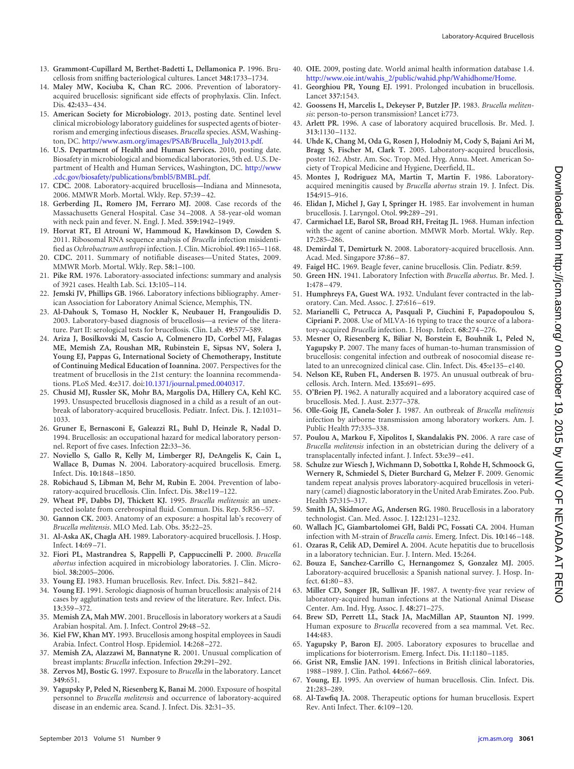- <span id="page-6-1"></span><span id="page-6-0"></span>13. **Grammont-Cupillard M, Berthet-Badetti L, Dellamonica P.** 1996. Brucellosis from sniffing bacteriological cultures. Lancet **348:**1733–1734.
- 14. **Maley MW, Kociuba K, Chan RC.** 2006. Prevention of laboratoryacquired brucellosis: significant side effects of prophylaxis. Clin. Infect. Dis. **42:**433– 434.
- <span id="page-6-2"></span>15. **American Society for Microbiology.** 2013, posting date. Sentinel level clinical microbiology laboratory guidelines for suspected agents of bioterrorism and emerging infectious diseases. *Brucella* species. ASM, Washington, DC. [http://www.asm.org/images/PSAB/Brucella\\_July2013.pdf.](http://www.asm.org/images/PSAB/Brucella_July2013.pdf)
- <span id="page-6-3"></span>16. **U.S. Department of Health and Human Services.** 2010, posting date. Biosafety in microbiological and biomedical laboratories, 5th ed. U.S. Department of Health and Human Services, Washington, DC. [http://www](http://www.cdc.gov/biosafety/publications/bmbl5/BMBL.pdf) [.cdc.gov/biosafety/publications/bmbl5/BMBL.pdf.](http://www.cdc.gov/biosafety/publications/bmbl5/BMBL.pdf)
- <span id="page-6-5"></span><span id="page-6-4"></span>17. **CDC.** 2008. Laboratory-acquired brucellosis—Indiana and Minnesota, 2006. MMWR Morb. Mortal. Wkly. Rep. **57:**39 – 42.
- 18. **Gerberding JL, Romero JM, Ferraro MJ.** 2008. Case records of the Massachusetts General Hospital. Case 34 –2008. A 58-year-old woman with neck pain and fever. N. Engl. J. Med. **359:**1942–1949.
- <span id="page-6-6"></span>19. **Horvat RT, El Atrouni W, Hammoud K, Hawkinson D, Cowden S.** 2011. Ribosomal RNA sequence analysis of *Brucella* infection misidentified as *Ochrobactrum anthropi* infection. J. Clin. Microbiol. **49:**1165–1168.
- <span id="page-6-8"></span><span id="page-6-7"></span>20. **CDC.** 2011. Summary of notifiable diseases—United States, 2009. MMWR Morb. Mortal. Wkly. Rep. **58:**1–100.
- <span id="page-6-9"></span>21. **Pike RM.** 1976. Laboratory-associated infections: summary and analysis of 3921 cases. Health Lab. Sci. **13:**105–114.
- <span id="page-6-37"></span>22. **Jemski JV, Phillips GB.** 1966. Laboratory infections bibliography. American Association for Laboratory Animal Science, Memphis, TN.
- 23. **Al-Dahouk S, Tomaso H, Nockler K, Neubauer H, Frangoulidis D.** 2003. Laboratory-based diagnosis of brucellosis—a review of the literature. Part II: serological tests for brucellosis. Clin. Lab. **49:**577–589.
- <span id="page-6-38"></span>24. **Ariza J, Bosilkovski M, Cascio A, Colmenero JD, Corbel MJ, Falagas ME, Memish ZA, Roushan MR, Rubinstein E, Sipsas NV, Solera J, Young EJ, Pappas G, International Society of Chemotherapy, Institute of Continuing Medical Education of Ioannina.** 2007. Perspectives for the treatment of brucellosis in the 21st century: the Ioannina recommendations. PLoS Med. **4:**e317. doi[:10.1371/journal.pmed.0040317.](http://dx.doi.org/10.1371/journal.pmed.0040317)
- <span id="page-6-17"></span>25. **Chusid MJ, Russler SK, Mohr BA, Margolis DA, Hillery CA, Kehl KC.** 1993. Unsuspected brucellosis diagnosed in a child as a result of an outbreak of laboratory-acquired brucellosis. Pediatr. Infect. Dis. J. **12:**1031– 1033.
- <span id="page-6-19"></span>26. **Gruner E, Bernasconi E, Galeazzi RL, Buhl D, Heinzle R, Nadal D.** 1994. Brucellosis: an occupational hazard for medical laboratory personnel. Report of five cases. Infection **22:**33–36.
- <span id="page-6-29"></span>27. **Noviello S, Gallo R, Kelly M, Limberger RJ, DeAngelis K, Cain L, Wallace B, Dumas N.** 2004. Laboratory-acquired brucellosis. Emerg. Infect. Dis. **10:**1848 –1850.
- <span id="page-6-31"></span><span id="page-6-20"></span>28. **Robichaud S, Libman M, Behr M, Rubin E.** 2004. Prevention of laboratory-acquired brucellosis. Clin. Infect. Dis. **38:**e119 –122.
- <span id="page-6-28"></span>29. **Wheat PF, Dabbs DJ, Thickett KJ.** 1995. *Brucella melitensis*: an unexpected isolate from cerebrospinal fluid. Commun. Dis. Rep. **5:**R56 –57.
- <span id="page-6-14"></span>30. **Gannon CK.** 2003. Anatomy of an exposure: a hospital lab's recovery of *Brucella melitensis*. MLO Med. Lab. Obs. **35:**22–25.
- <span id="page-6-24"></span>31. **Al-Aska AK, Chagla AH.** 1989. Laboratory-acquired brucellosis. J. Hosp. Infect. **14:**69 –71.
- <span id="page-6-11"></span>32. **Fiori PL, Mastrandrea S, Rappelli P, Cappuccinelli P.** 2000. *Brucella abortus* infection acquired in microbiology laboratories. J. Clin. Microbiol. **38:**2005–2006.
- <span id="page-6-16"></span>33. **Young EJ.** 1983. Human brucellosis. Rev. Infect. Dis. **5:**821– 842.
- <span id="page-6-26"></span>34. **Young EJ.** 1991. Serologic diagnosis of human brucellosis: analysis of 214 cases by agglutination tests and review of the literature. Rev. Infect. Dis. **13:**359 –372.
- <span id="page-6-18"></span>35. **Memish ZA, Mah MW.** 2001. Brucellosis in laboratory workers at a Saudi Arabian hospital. Am. J. Infect. Control **29:**48 –52.
- <span id="page-6-27"></span>36. **Kiel FW, Khan MY.** 1993. Brucellosis among hospital employees in Saudi Arabia. Infect. Control Hosp. Epidemiol. **14:**268 –272.
- <span id="page-6-22"></span>37. **Memish ZA, Alazzawi M, Bannatyne R.** 2001. Unusual complication of breast implants: *Brucella* infection. Infection **29:**291–292.
- <span id="page-6-25"></span>38. **Zervos MJ, Bostic G.** 1997. Exposure to *Brucella* in the laboratory. Lancet **349:**651.
- 39. **Yagupsky P, Peled N, Riesenberg K, Banai M.** 2000. Exposure of hospital personnel to *Brucella melitensis* and occurrence of laboratory-acquired disease in an endemic area. Scand. J. Infect. Dis. **32:**31–35.
- <span id="page-6-39"></span><span id="page-6-15"></span>40. **OIE.** 2009, posting date. World animal health information database 1.4. [http://www.oie.int/wahis\\_2/public/wahid.php/Wahidhome/Home.](http://www.oie.int/wahis_2/public/wahid.php/Wahidhome/Home)
- <span id="page-6-10"></span>41. **Georghiou PR, Young EJ.** 1991. Prolonged incubation in brucellosis. Lancet **337:**1543.
- 42. **Goossens H, Marcelis L, Dekeyser P, Butzler JP.** 1983. *Brucella melitensis*: person-to-person transmission? Lancet **i:**773.
- <span id="page-6-33"></span><span id="page-6-21"></span>43. **Arlett PR.** 1996. A case of laboratory acquired brucellosis. Br. Med. J. **313:**1130 –1132.
- 44. **Uhde K, Chang M, Oda G, Rosen J, Holodniy M, Cody S, Bajani Ari M, Bragg S, Fischer M, Clark T.** 2005. Laboratory-acquired brucellosis, poster 162. Abstr. Am. Soc. Trop. Med. Hyg. Annu. Meet. American Society of Tropical Medicine and Hygiene, Deerfield, IL.
- <span id="page-6-13"></span>45. **Montes J, Rodriguez MA, Martin T, Martin F.** 1986. Laboratoryacquired meningitis caused by *Brucella abortus* strain 19. J. Infect. Dis. **154:**915–916.
- <span id="page-6-12"></span>46. **Elidan J, Michel J, Gay I, Springer H.** 1985. Ear involvement in human brucellosis. J. Laryngol. Otol. **99:**289 –291.
- 47. **Carmichael LE, Barol SR, Broad RH, Freitag JL.** 1968. Human infection with the agent of canine abortion. MMWR Morb. Mortal. Wkly. Rep. **17:**285–286.
- 48. **Demirdal T, Demirturk N.** 2008. Laboratory-acquired brucellosis. Ann. Acad. Med. Singapore **37:**86 – 87.
- 49. **Faigel HC.** 1969. Beagle fever, canine brucellosis. Clin. Pediatr. **8:**59.
- 50. **Green HN.** 1941. Laboratory Infection with *Brucella abortus*. Br. Med. J. **1:**478 – 479.
- 51. **Humphreys FA, Guest WA.** 1932. Undulant fever contracted in the laboratory. Can. Med. Assoc. J. **27:**616 – 619.
- 52. **Marianelli C, Petrucca A, Pasquali P, Ciuchini F, Papadopoulou S, Cipriani P.** 2008. Use of MLVA-16 typing to trace the source of a laboratory-acquired *Brucella* infection. J. Hosp. Infect. **68:**274 –276.
- 53. **Mesner O, Riesenberg K, Biliar N, Borstein E, Bouhnik L, Peled N, Yagupsky P.** 2007. The many faces of human-to-human transmission of brucellosis: congenital infection and outbreak of nosocomial disease related to an unrecognized clinical case. Clin. Infect. Dis. **45:**e135– e140.
- 54. **Nelson KE, Ruben FL, Andersen B.** 1975. An unusual outbreak of brucellosis. Arch. Intern. Med. **135:**691– 695.
- <span id="page-6-35"></span>55. **O'Brien PJ.** 1962. A naturally acquired and a laboratory acquired case of brucellosis. Med. J. Aust. **2:**377–378.
- 56. **Olle-Goig JE, Canela-Soler J.** 1987. An outbreak of *Brucella melitensis* infection by airborne transmission among laboratory workers. Am. J. Public Health **77:**335–338.
- 57. **Poulou A, Markou F, Xipolitos I, Skandalakis PN.** 2006. A rare case of *Brucella melitensis* infection in an obstetrician during the delivery of a transplacentally infected infant. J. Infect. **53:**e39 – e41.
- 58. **Schulze zur Wiesch J, Wichmann D, Sobottka I, Rohde H, Schmoock G, Wernery R, Schmiedel S, Dieter Burchard G, Melzer F.** 2009. Genomic tandem repeat analysis proves laboratory-acquired brucellosis in veterinary (camel) diagnostic laboratory in the United Arab Emirates. Zoo. Pub. Health **57:**315–317.
- <span id="page-6-40"></span><span id="page-6-32"></span>59. **Smith JA, Skidmore AG, Andersen RG.** 1980. Brucellosis in a laboratory technologist. Can. Med. Assoc. J. **122:**1231–1232.
- <span id="page-6-30"></span>60. **Wallach JC, Giambartolomei GH, Baldi PC, Fossati CA.** 2004. Human infection with M-strain of *Brucella canis*. Emerg. Infect. Dis. **10:**146 –148. 61. **Ozaras R, Celik AD, Demirel A.** 2004. Acute hepatitis due to brucellosis
- <span id="page-6-36"></span>in a laboratory technician. Eur. J. Intern. Med. **15:**264.
- <span id="page-6-34"></span>62. **Bouza E, Sanchez-Carrillo C, Hernangomez S, Gonzalez MJ.** 2005. Laboratory-acquired brucellosis: a Spanish national survey. J. Hosp. Infect. **61:**80 – 83.
- <span id="page-6-23"></span>63. **Miller CD, Songer JR, Sullivan JF.** 1987. A twenty-five year review of laboratory-acquired human infections at the National Animal Disease Center. Am. Ind. Hyg. Assoc. J. **48:**271–275.
- <span id="page-6-41"></span>64. **Brew SD, Perrett LL, Stack JA, MacMillan AP, Staunton NJ.** 1999. Human exposure to *Brucella* recovered from a sea mammal. Vet. Rec. **144:**483.
- <span id="page-6-42"></span>65. **Yagupsky P, Baron EJ.** 2005. Laboratory exposures to brucellae and implications for bioterrorism. Emerg. Infect. Dis. **11:**1180 –1185.
- <span id="page-6-43"></span>66. **Grist NR, Emslie JAN.** 1991. Infections in British clinical laboratories, 1988 –1989. J. Clin. Pathol. **44:**667– 669.
- <span id="page-6-44"></span>67. **Young, EJ.** 1995. An overview of human brucellosis. Clin. Infect. Dis. **21:**283–289.
- 68. **Al-Tawfiq JA.** 2008. Therapeutic options for human brucellosis. Expert Rev. Anti Infect. Ther. **6:**109 –120.